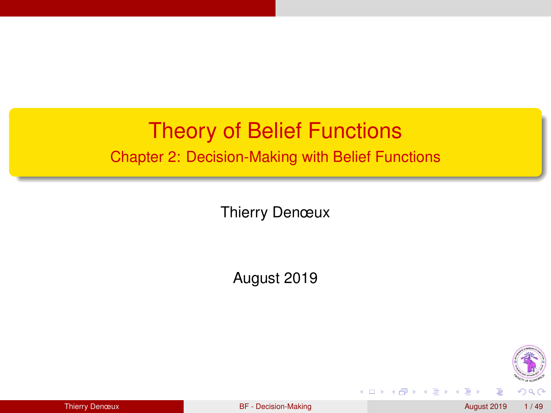### <span id="page-0-0"></span>Theory of Belief Functions Chapter 2: Decision-Making with Belief Functions

Thierry Denœux

August 2019



**←ロト ←何ト** 

 $\rightarrow$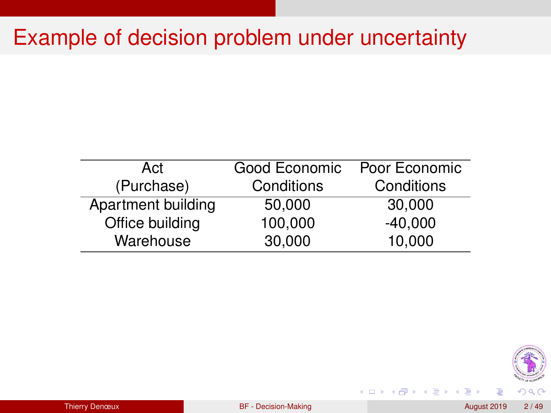### Example of decision problem under uncertainty

| Act                | Good Economic | Poor Economic |
|--------------------|---------------|---------------|
| (Purchase)         | Conditions    | Conditions    |
| Apartment building | 50,000        | 30,000        |
| Office building    | 100,000       | $-40,000$     |
| Warehouse          | 30,000        | 10,000        |



**K ロ ト K 何 ト** 

 $\rightarrow$   $\equiv$ 

E K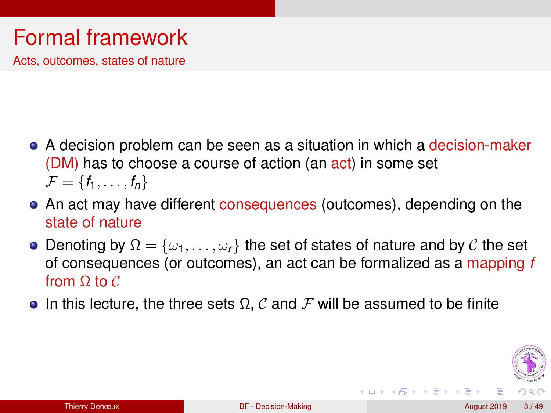# Formal framework

Acts, outcomes, states of nature

- A decision problem can be seen as a situation in which a decision-maker (DM) has to choose a course of action (an act) in some set  $\mathcal{F} = \{f_1, \ldots, f_n\}$
- An act may have different consequences (outcomes), depending on the state of nature
- **•** Denoting by  $\Omega = {\omega_1, \ldots, \omega_r}$  the set of states of nature and by C the set of consequences (or outcomes), an act can be formalized as a mapping *f* from  $\Omega$  to  $\mathcal C$
- In this lecture, the three sets  $\Omega$ , C and F will be assumed to be finite



**K ロ ト K 伺 ト K ヨ ト K**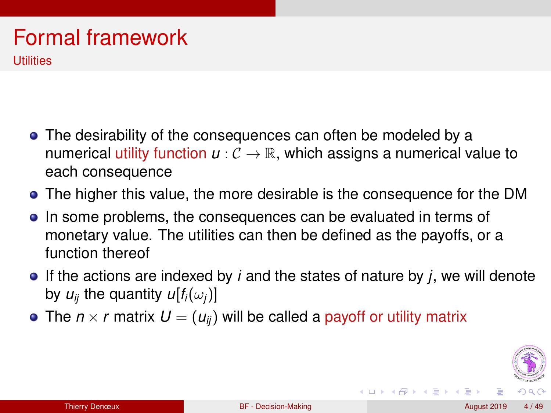### Formal framework **Utilities**

- The desirability of the consequences can often be modeled by a numerical utility function  $u: \mathcal{C} \to \mathbb{R}$ , which assigns a numerical value to each consequence
- The higher this value, the more desirable is the consequence for the DM
- In some problems, the consequences can be evaluated in terms of monetary value. The utilities can then be defined as the payoffs, or a function thereof
- If the actions are indexed by *i* and the states of nature by *j*, we will denote by  $u_{ii}$  the quantity  $u[f_i(\omega_i)]$
- The  $n \times r$  matrix  $U = (u_{ii})$  will be called a payoff or utility matrix



**K ロ ト K 何 ト**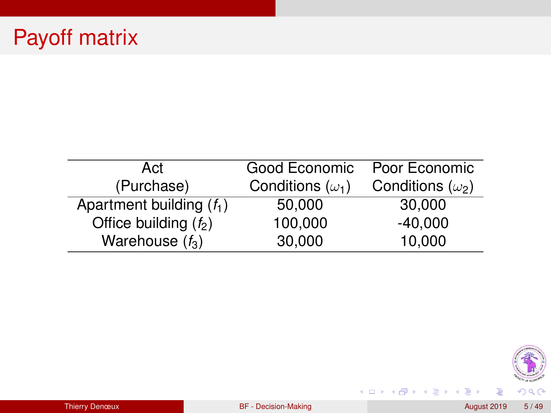# Payoff matrix

| Act                        | Good Economic           | Poor Economic           |
|----------------------------|-------------------------|-------------------------|
| (Purchase)                 | Conditions $(\omega_1)$ | Conditions $(\omega_2)$ |
| Apartment building $(f_1)$ | 50,000                  | 30,000                  |
| Office building $(f_2)$    | 100,000                 | $-40,000$               |
| Warehouse $(f_3)$          | 30,000                  | 10,000                  |



メロメメ 御きメ ミトメ 差す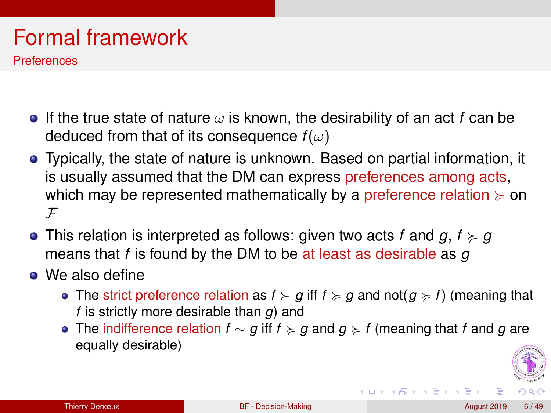# Formal framework

**Preferences** 

- **If the true state of nature**  $\omega$  is known, the desirability of an act f can be deduced from that of its consequence  $f(\omega)$
- Typically, the state of nature is unknown. Based on partial information, it is usually assumed that the DM can express preferences among acts, which may be represented mathematically by a preference relation  $\succeq$  on  $\mathcal{F}$
- This relation is interpreted as follows: given two acts *f* and  $g, f \succcurlyeq g$ means that *f* is found by the DM to be at least as desirable as *g*
- We also define
	- The strict preference relation as  $f \succ g$  iff  $f \succ g$  and not $(g \succ f)$  (meaning that *f* is strictly more desirable than *g*) and
	- The indifference relation *f* ∼ *g* iff *f* < *g* and *g* < *f* (meaning that *f* and *g* are equally desirable)



**K ロ ト K 何 ト K ヨ ト K**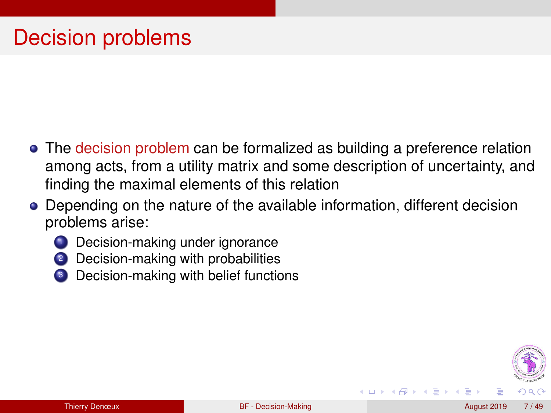- The decision problem can be formalized as building a preference relation among acts, from a utility matrix and some description of uncertainty, and finding the maximal elements of this relation
- Depending on the nature of the available information, different decision problems arise:
	- **1** Decision-making under ignorance
	- 2 Decision-making with probabilities
	- Decision-making with belief functions



(□ ) (f)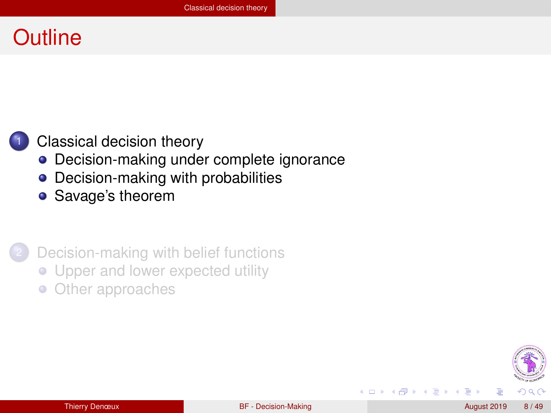### <span id="page-7-0"></span>**Outline**

#### [Classical decision theory](#page-7-0)

- [Decision-making under complete ignorance](#page-8-0)
- [Decision-making with probabilities](#page-20-0)
- [Savage's theorem](#page-26-0)

[Decision-making with belief functions](#page-32-0)

- [Upper and lower expected utility](#page-38-0)
- [Other approaches](#page-44-0)  $\bullet$



(□ ) (f)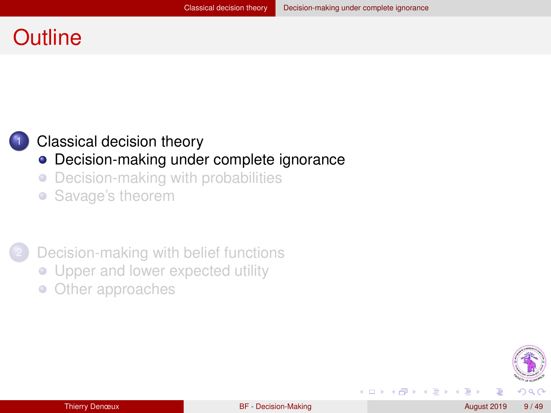### <span id="page-8-0"></span>**Outline**

#### [Classical decision theory](#page-7-0)

#### • [Decision-making under complete ignorance](#page-8-0)

[Decision-making with probabilities](#page-20-0)  $\bullet$ 

• [Savage's theorem](#page-26-0)

[Decision-making with belief functions](#page-32-0)

- [Upper and lower expected utility](#page-38-0)
- [Other approaches](#page-44-0)  $\bullet$



◂**◻▸ ◂<del>╓</del>▸** 

∋⇒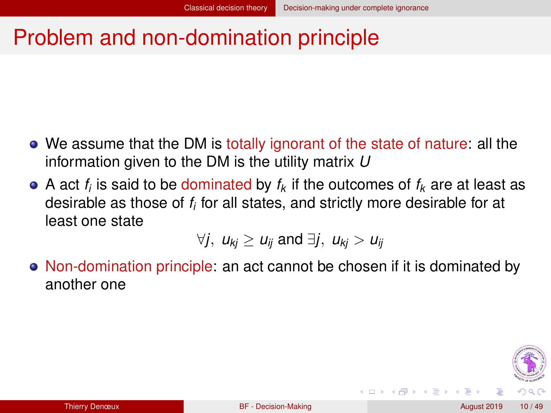∢ □ ▶ ∢ <sup>□</sup>

### <span id="page-9-0"></span>Problem and non-domination principle

- We assume that the DM is totally ignorant of the state of nature: all the information given to the DM is the utility matrix *U*
- A act  $f_i$  is said to be dominated by  $f_k$  if the outcomes of  $f_k$  are at least as desirable as those of *f<sup>i</sup>* for all states, and strictly more desirable for at least one state

$$
\forall j, u_{kj} \geq u_{ij} \text{ and } \exists j, u_{kj} > u_{ij}
$$

• Non-domination principle: an act cannot be chosen if it is dominated by another one

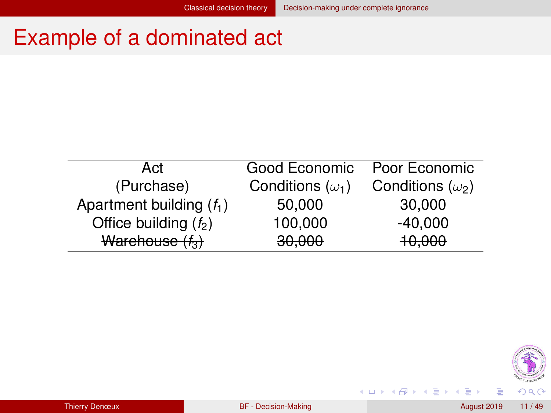(ロ) ( d )

# <span id="page-10-0"></span>Example of a dominated act

| Act                        | Good Economic           | Poor Economic           |
|----------------------------|-------------------------|-------------------------|
| (Purchase)                 | Conditions $(\omega_1)$ | Conditions $(\omega_2)$ |
| Apartment building $(f_1)$ | 50,000                  | 30,000                  |
| Office building $(f_2)$    | 100,000                 | $-40,000$               |
| Warehouse $(f_3)$          | 30,000                  | 10,000                  |



Þ

in the Britain ×.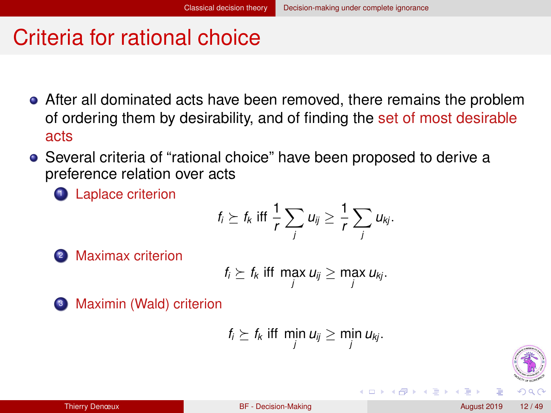### <span id="page-11-0"></span>Criteria for rational choice

- After all dominated acts have been removed, there remains the problem of ordering them by desirability, and of finding the set of most desirable acts
- Several criteria of "rational choice" have been proposed to derive a preference relation over acts

<sup>1</sup> Laplace criterion

$$
f_i \succeq f_k \text{ iff } \frac{1}{r} \sum_j u_{ij} \geq \frac{1}{r} \sum_j u_{kj}.
$$

<sup>2</sup> Maximax criterion

$$
f_i \succeq f_k \text{ iff } \max_j u_{ij} \geq \max_j u_{kj}.
$$

<sup>3</sup> Maximin (Wald) criterion

$$
f_i \succeq f_k \text{ iff } \min_j u_{ij} \geq \min_j u_{kj}.
$$

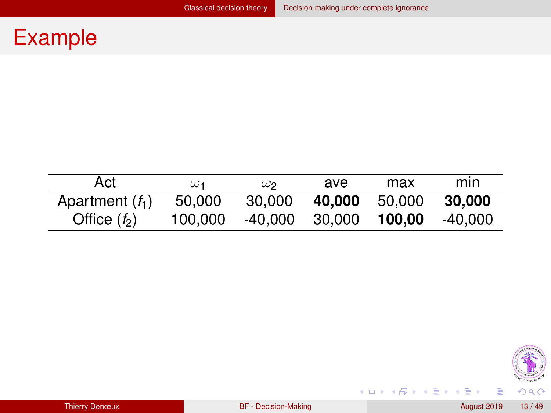# <span id="page-12-0"></span>Example

| Act               | $\omega_1$ | $\omega$ 2 | ave    | max    | mın     |
|-------------------|------------|------------|--------|--------|---------|
| Apartment $(f_1)$ | 50,000     | 30,000     | 40.000 | 50.000 | 30,000  |
| Office $(f_2)$    | 100.000    | -40.000    | 30.000 | 100.00 | -40.000 |



メロメメ 御きメ ミトメ 差す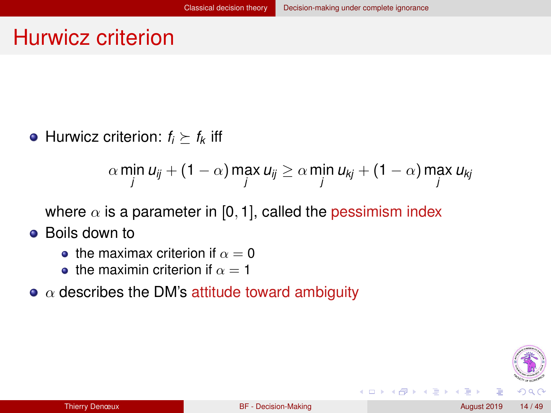### <span id="page-13-0"></span>Hurwicz criterion

• Hurwicz criterion:  $f_i \succeq f_k$  iff

$$
\alpha \min_{j} u_{ij} + (1 - \alpha) \max_{j} u_{ij} \ge \alpha \min_{j} u_{kj} + (1 - \alpha) \max_{j} u_{kj}
$$

where  $\alpha$  is a parameter in [0, 1], called the pessimism index

- **•** Boils down to
	- the maximax criterion if  $\alpha = 0$
	- **•** the maximin criterion if  $\alpha = 1$
- $\bullet$   $\alpha$  describes the DM's attitude toward ambiguity



∢ □ ▶ ∢ <sup>□</sup>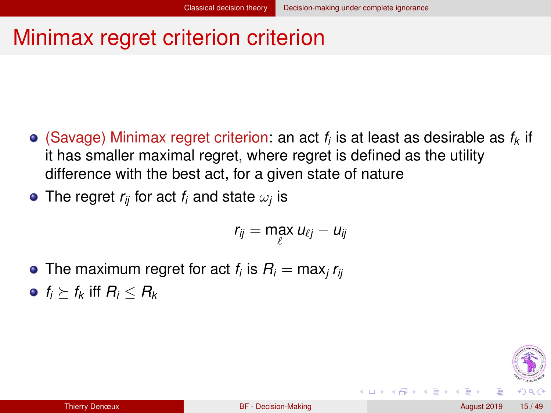# <span id="page-14-0"></span>Minimax regret criterion criterion

(Savage) Minimax regret criterion: an act *f<sup>i</sup>* is at least as desirable as *f<sup>k</sup>* if it has smaller maximal regret, where regret is defined as the utility difference with the best act, for a given state of nature

The regret  $r_{ij}$  for act  $f_i$  and state  $\omega_j$  is

$$
r_{ij} = \max_{\ell} u_{\ell j} - u_{ij}
$$

- The maximum regret for act  $f_i$  is  $R_i = \max_j r_{ij}$
- $\bullet$  *f<sub>i</sub>*  $>$  *f<sub>k</sub>* iff *R<sub>i</sub>*  $<$  *R<sub>k</sub>*



**∢ ロ ▶ ィ 何**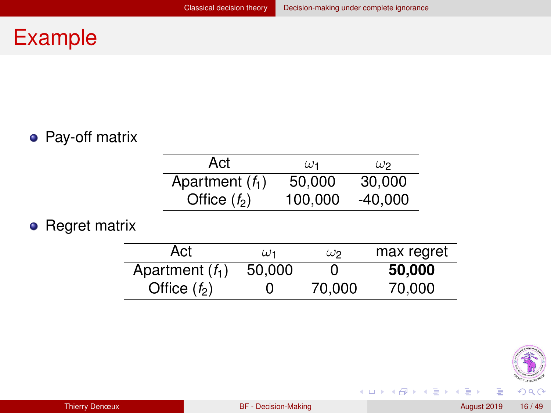### <span id="page-15-0"></span>Example

#### • Pay-off matrix

| Act               | $\omega_1$ | $\omega$ 2 |
|-------------------|------------|------------|
| Apartment $(f_1)$ | 50,000     | 30,000     |
| Office $(f_2)$    | 100,000    | $-40,000$  |

#### • Regret matrix

| Act               | $\omega_1$ | $\omega$ 2 | max regret |
|-------------------|------------|------------|------------|
| Apartment $(f_1)$ | 50,000     | 0          | 50,000     |
| Office $(f_2)$    |            | 70,000     | 70,000     |



→ 重き → 重き

(ロ) ( d )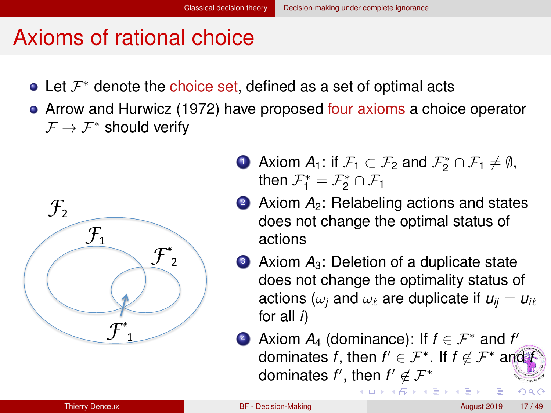### <span id="page-16-0"></span>Axioms of rational choice

- Let  $\mathcal{F}^*$  denote the choice set, defined as a set of optimal acts
- Arrow and Hurwicz (1972) have proposed four axioms a choice operator  $\mathcal{F} \to \mathcal{F}^*$  should verify



- **D** Axiom  $A_1$ : if  $\mathcal{F}_1 \subset \mathcal{F}_2$  and  $\mathcal{F}_2^* \cap \mathcal{F}_1 \neq \emptyset$ , then  $\mathcal{F}_1^* = \mathcal{F}_2^* \cap \mathcal{F}_1$
- **2** Axiom  $A_2$ : Relabeling actions and states does not change the optimal status of actions
- **3** Axiom  $A_3$ : Deletion of a duplicate state does not change the optimality status of actions ( $\omega_i$  and  $\omega_\ell$  are duplicate if  $u_{ii} = u_{i\ell}$ for all *i*)
- **4** Axiom  $A_4$  (dominance): If  $f \in \mathcal{F}^*$  and  $f'$ dominates *f*, then  $f' \in \mathcal{F}^*$ . If  $f \notin \mathcal{F}^*$  and *f* dominates  $f'$ , then  $f' \not\in \mathcal{F}^*$

医单位 医单

 $\Omega$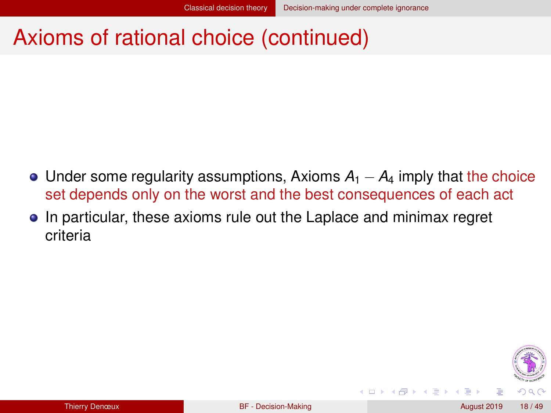(□ ) (f)

### <span id="page-17-0"></span>Axioms of rational choice (continued)

- $\bullet$  Under some regularity assumptions, Axioms  $A_1 A_4$  imply that the choice set depends only on the worst and the best consequences of each act
- In particular, these axioms rule out the Laplace and minimax regret criteria

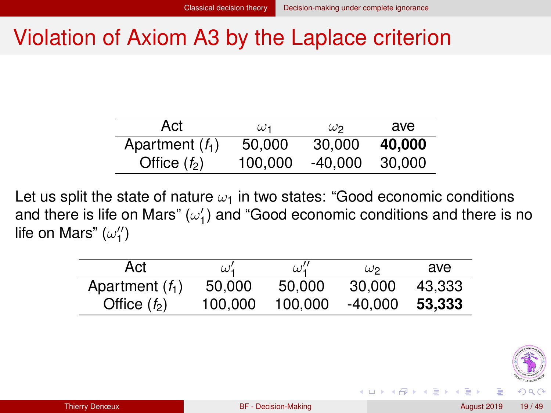∢ □ ▶ ∢ <sup>□</sup>

### <span id="page-18-0"></span>Violation of Axiom A3 by the Laplace criterion

| Act               | $\omega$ 1 | $\omega$ 2 | ave    |
|-------------------|------------|------------|--------|
| Apartment $(f_1)$ | 50,000     | 30,000     | 40,000 |
| Office $(f_2)$    | 100.000    | -40.000    | 30.000 |

Let us split the state of nature  $\omega_1$  in two states: "Good economic conditions and there is life on Mars"  $(\omega'_1)$  and "Good economic conditions and there is no life on Mars" ( $\omega''_1$ )

| Act               | $\omega'$ | $\omega''_1$ | $\omega$ | ave    |
|-------------------|-----------|--------------|----------|--------|
| Apartment $(f_1)$ | 50,000    | 50.000       | 30.000   | 43.333 |
| Office $(f_2)$    | 100.000   | 100.000      | -40.000  | 53.333 |

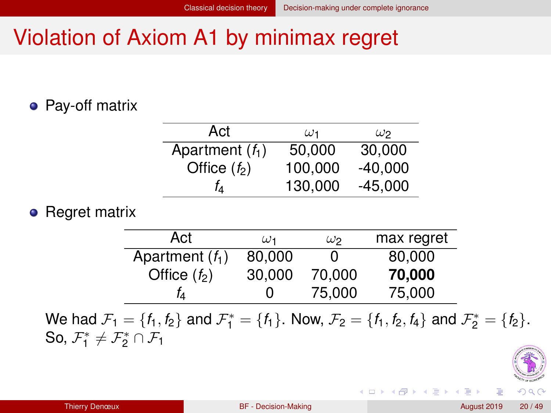### <span id="page-19-0"></span>Violation of Axiom A1 by minimax regret

#### • Pay-off matrix

| Act               | $\omega_1$ | $\omega_2$ |
|-------------------|------------|------------|
| Apartment $(f_1)$ | 50,000     | 30,000     |
| Office $(f_2)$    | 100.000    | $-40.000$  |
| Ťд                | 130,000    | $-45,000$  |

#### • Regret matrix

| Act               | $\omega_1$ | $\omega$ 2 | max regret |
|-------------------|------------|------------|------------|
| Apartment $(f_1)$ | 80,000     | O          | 80,000     |
| Office $(f_2)$    | 30,000     | 70.000     | 70,000     |
| Tд                | 0          | 75,000     | 75,000     |
|                   |            |            |            |

We had  $\mathcal{F}_1 = \{f_1, f_2\}$  and  $\mathcal{F}_1^* = \{f_1\}$ . Now,  $\mathcal{F}_2 = \{f_1, f_2, f_4\}$  and  $\mathcal{F}_2^* = \{f_2\}$ . So,  $\mathcal{F}_1^* \neq \mathcal{F}_2^* \cap \mathcal{F}_1$ 



イロト イ母 トイラト イラト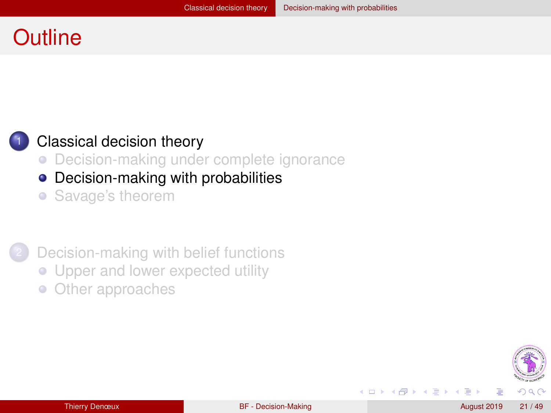### <span id="page-20-0"></span>**Outline**

#### [Classical decision theory](#page-7-0)

- [Decision-making under complete ignorance](#page-8-0)
- [Decision-making with probabilities](#page-20-0)
- [Savage's theorem](#page-26-0)

#### [Decision-making with belief functions](#page-32-0)

- [Upper and lower expected utility](#page-38-0)
- [Other approaches](#page-44-0)  $\bullet$



◂**◻▸ ◂<del>╓</del>▸** 

E K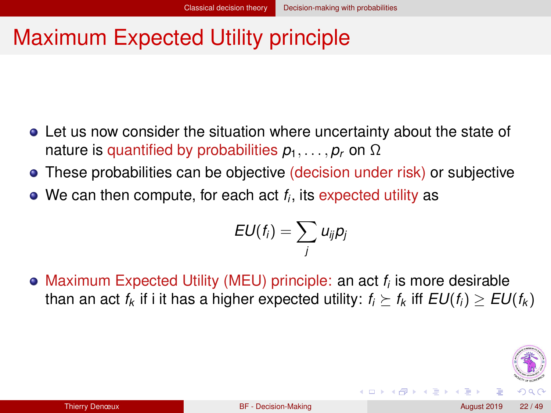# <span id="page-21-0"></span>Maximum Expected Utility principle

- Let us now consider the situation where uncertainty about the state of nature is quantified by probabilities  $p_1, \ldots, p_r$  on  $\Omega$
- These probabilities can be objective (decision under risk) or subjective
- We can then compute, for each act *f<sup>i</sup>* , its expected utility as

$$
EU(f_i)=\sum_j u_{ij}p_j
$$

Maximum Expected Utility (MEU) principle: an act *f<sup>i</sup>* is more desirable than an act  $f_k$  if i it has a higher expected utility:  $f_i \succ f_k$  iff  $EU(f_i) > EU(f_k)$ 



◂**◻▸ ◂<del>╓</del>▸**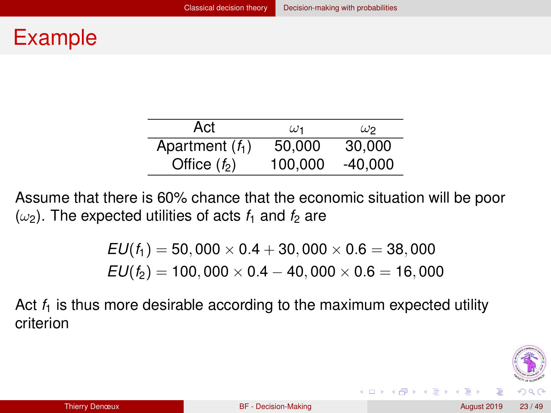### <span id="page-22-0"></span>Example

| Act               | $\omega_1$ | $\omega$ 2 |
|-------------------|------------|------------|
| Apartment $(f_1)$ | 50,000     | 30,000     |
| Office $(f_2)$    | 100,000    | $-40,000$  |

Assume that there is 60% chance that the economic situation will be poor  $(\omega_2)$ . The expected utilities of acts  $f_1$  and  $f_2$  are

> $EU(f_1) = 50,000 \times 0.4 + 30,000 \times 0.6 = 38,000$  $EU(f_2) = 100,000 \times 0.4 - 40,000 \times 0.6 = 16,000$

Act  $f_1$  is thus more desirable according to the maximum expected utility criterion



イロト イ母 トイラト イラト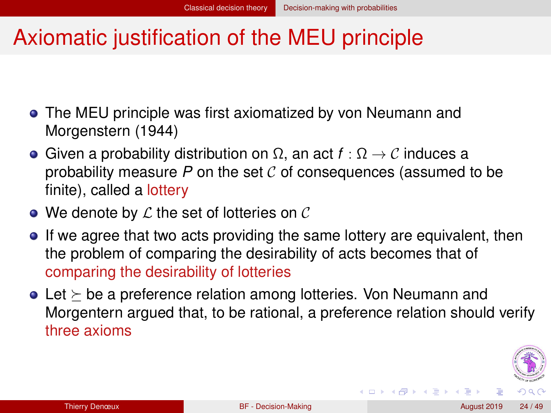### <span id="page-23-0"></span>Axiomatic justification of the MEU principle

- The MEU principle was first axiomatized by von Neumann and Morgenstern (1944)
- Given a probability distribution on  $\Omega$ , an act  $f : \Omega \to \mathcal{C}$  induces a probability measure  $P$  on the set  $C$  of consequences (assumed to be finite), called a lottery
- $\bullet$  We denote by  $\mathcal L$  the set of lotteries on  $\mathcal C$
- If we agree that two acts providing the same lottery are equivalent, then the problem of comparing the desirability of acts becomes that of comparing the desirability of lotteries
- $\bullet$  Let  $\succ$  be a preference relation among lotteries. Von Neumann and Morgentern argued that, to be rational, a preference relation should verify three axioms



イロト イ母 トイヨ トイヨ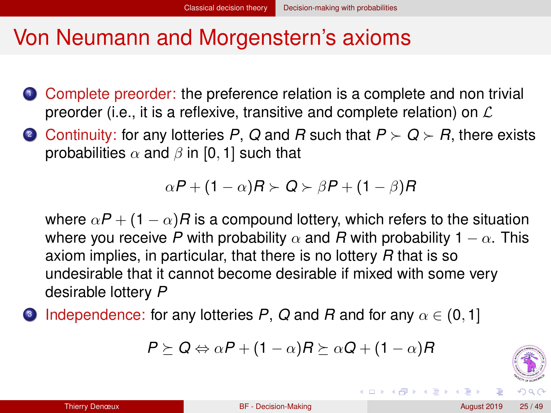### <span id="page-24-0"></span>Von Neumann and Morgenstern's axioms

- **1** Complete preorder: the preference relation is a complete and non trivial preorder (i.e., it is a reflexive, transitive and complete relation) on  $\mathcal L$
- 2 Continuity: for any lotteries P, Q and R such that  $P > Q > R$ , there exists probabilities  $\alpha$  and  $\beta$  in [0, 1] such that

$$
\alpha P + (1 - \alpha)R \succ Q \succ \beta P + (1 - \beta)R
$$

where  $\alpha P + (1 - \alpha)R$  is a compound lottery, which refers to the situation where you receive P with probability  $\alpha$  and R with probability 1  $-\alpha$ . This axiom implies, in particular, that there is no lottery *R* that is so undesirable that it cannot become desirable if mixed with some very desirable lottery *P*

3 Independence: for any lotteries *P*, *Q* and *R* and for any α ∈ (0, 1]

$$
P \succeq Q \Leftrightarrow \alpha P + (1 - \alpha)R \succeq \alpha Q + (1 - \alpha)R
$$



イロト イ母 トイラト イヨ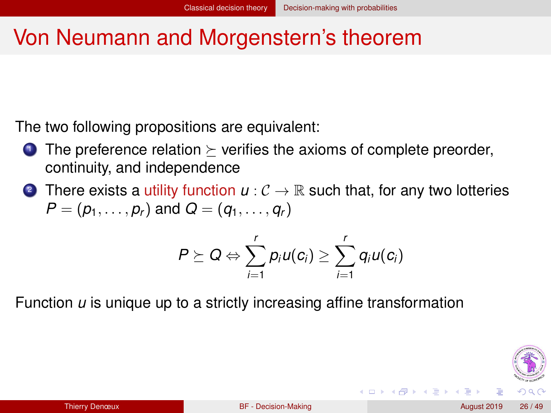### <span id="page-25-0"></span>Von Neumann and Morgenstern's theorem

The two following propositions are equivalent:

- **1** The preference relation  $\triangleright$  verifies the axioms of complete preorder, continuity, and independence
- 2 There exists a utility function  $u: \mathcal{C} \to \mathbb{R}$  such that, for any two lotteries  $P = (p_1, \ldots, p_r)$  and  $Q = (q_1, \ldots, q_r)$

$$
P \succeq Q \Leftrightarrow \sum_{i=1}^r p_i u(c_i) \ge \sum_{i=1}^r q_i u(c_i)
$$

Function *u* is unique up to a strictly increasing affine transformation



◂**◻▸ ◂<del>╓</del>▸**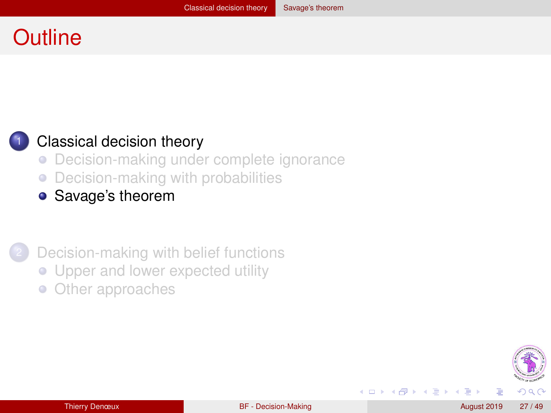## <span id="page-26-0"></span>**Outline**

#### [Classical decision theory](#page-7-0)

- [Decision-making under complete ignorance](#page-8-0)  $\bullet$
- [Decision-making with probabilities](#page-20-0)  $\bullet$
- [Savage's theorem](#page-26-0)

[Decision-making with belief functions](#page-32-0)

- [Upper and lower expected utility](#page-38-0)
- [Other approaches](#page-44-0)  $\bullet$



化重 经年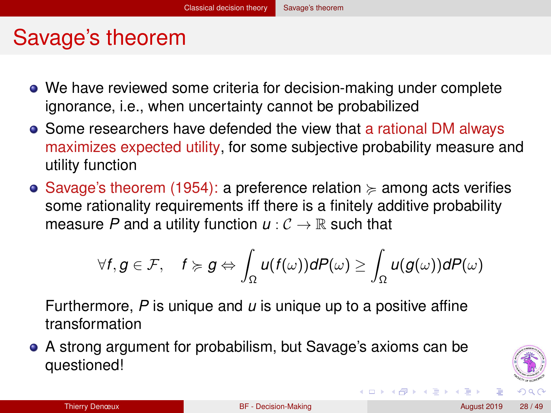### <span id="page-27-0"></span>Savage's theorem

- We have reviewed some criteria for decision-making under complete ignorance, i.e., when uncertainty cannot be probabilized
- Some researchers have defended the view that a rational DM always maximizes expected utility, for some subjective probability measure and utility function
- Savage's theorem (1954): a preference relation  $\succcurlyeq$  among acts verifies some rationality requirements iff there is a finitely additive probability measure P and a utility function  $u: \mathcal{C} \to \mathbb{R}$  such that

$$
\forall f,g\in\mathcal{F},\quad f\succcurlyeq g\Leftrightarrow \int_{\Omega}u(f(\omega))dP(\omega)\geq \int_{\Omega}u(g(\omega))dP(\omega)
$$

Furthermore, *P* is unique and *u* is unique up to a positive affine transformation

A strong argument for probabilism, but Savage's axioms can be questioned!



イロト イ母 トイヨ トイヨ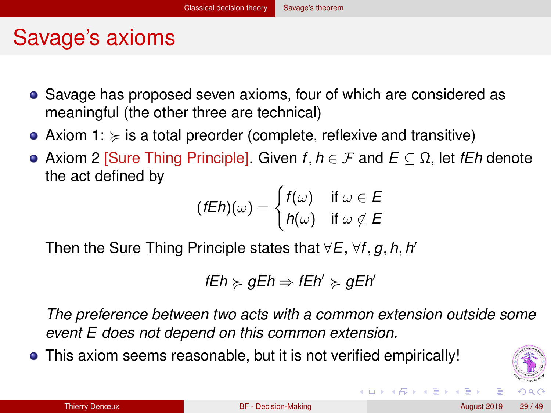### <span id="page-28-0"></span>Savage's axioms

- Savage has proposed seven axioms, four of which are considered as meaningful (the other three are technical)
- Axiom 1:  $\succcurlyeq$  is a total preorder (complete, reflexive and transitive)
- Axiom 2 [Sure Thing Principle]. Given *f*, *h* ∈ F and *E* ⊆ Ω, let *fEh* denote the act defined by

$$
(fEh)(\omega) = \begin{cases} f(\omega) & \text{if } \omega \in E \\ h(\omega) & \text{if } \omega \notin E \end{cases}
$$

Then the Sure Thing Principle states that ∀*E*, ∀*f*, *g*, *h*, *h* 0

$$
\mathit{fE} h \succcurlyeq \mathit{gE} h \Rightarrow \mathit{fE} h' \succcurlyeq \mathit{gE} h'
$$

*The preference between two acts with a common extension outside some event E does not depend on this common extension.*

This axiom seems reasonable, but it is not verified empirically!

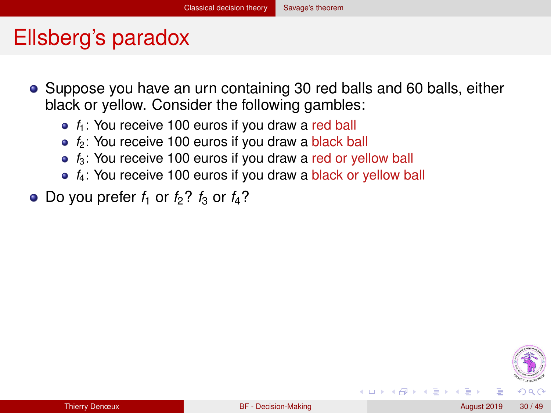### <span id="page-29-0"></span>Ellsberg's paradox

- Suppose you have an urn containing 30 red balls and 60 balls, either black or yellow. Consider the following gambles:
	- $f_1$ : You receive 100 euros if you draw a red ball
	- $f_2$ : You receive 100 euros if you draw a black ball
	- $f_3$ : You receive 100 euros if you draw a red or yellow ball
	- $f_4$ : You receive 100 euros if you draw a black or yellow ball
- $\bullet$  Do you prefer  $f_1$  or  $f_2$ ?  $f_3$  or  $f_4$ ?



∢ □ ▶ ∢ <sup>□</sup>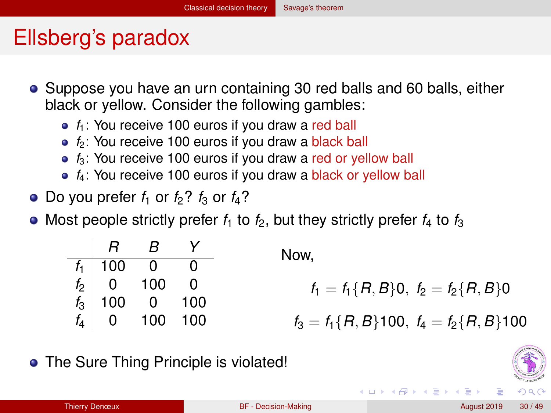### <span id="page-30-0"></span>Ellsberg's paradox

- Suppose you have an urn containing 30 red balls and 60 balls, either black or yellow. Consider the following gambles:
	- $f_1$ : You receive 100 euros if you draw a red ball
	- $f_2$ : You receive 100 euros if you draw a black ball
	- $f_3$ : You receive 100 euros if you draw a red or yellow ball
	- $f_4$ : You receive 100 euros if you draw a black or yellow ball
- Do you prefer  $f_1$  or  $f_2$ ?  $f_3$  or  $f_4$ ?
- Most people strictly prefer  $f_1$  to  $f_2$ , but they strictly prefer  $f_4$  to  $f_3$

| $R$   | $B$ | $Y$ |     |
|-------|-----|-----|-----|
| $f_1$ | 100 | 0   | 0   |
| $f_2$ | 0   | 100 | 0   |
| $f_3$ | 100 | 0   | 100 |
| $f_4$ | 0   | 100 | 100 |
| $f_5$ | 100 | 100 |     |
| $f_6$ | 100 | 100 |     |

• The Sure Thing Principle is violated!

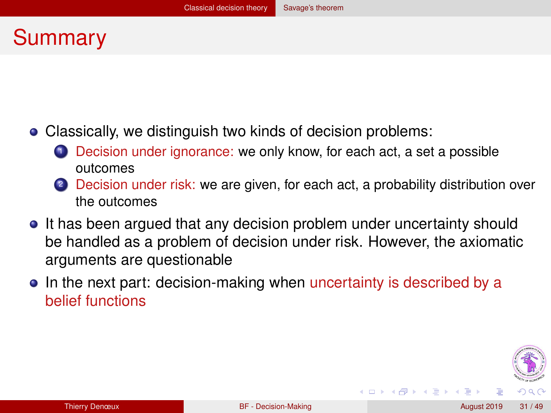### <span id="page-31-0"></span>Summary

- Classically, we distinguish two kinds of decision problems:
	- **1** Decision under ignorance: we only know, for each act, a set a possible outcomes
	- 2 Decision under risk: we are given, for each act, a probability distribution over the outcomes
- It has been argued that any decision problem under uncertainty should be handled as a problem of decision under risk. However, the axiomatic arguments are questionable
- In the next part: decision-making when uncertainty is described by a belief functions



◂**◻▸ ◂<del>╓</del>▸**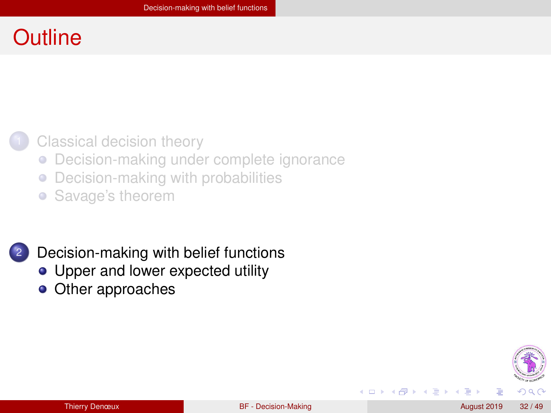### <span id="page-32-0"></span>**Outline**

#### [Classical decision theory](#page-7-0)

- [Decision-making under complete ignorance](#page-8-0)  $\bullet$
- [Decision-making with probabilities](#page-20-0)  $\bullet$
- [Savage's theorem](#page-26-0)

#### [Decision-making with belief functions](#page-32-0)

- [Upper and lower expected utility](#page-38-0)
- [Other approaches](#page-44-0)



◂**◻▸ ◂<del>╓</del>▸** 

Э×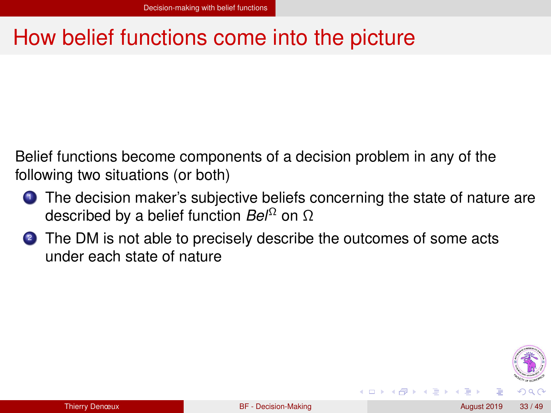### <span id="page-33-0"></span>How belief functions come into the picture

Belief functions become components of a decision problem in any of the following two situations (or both)

- **1** The decision maker's subjective beliefs concerning the state of nature are described by a belief function *Bel*<sup>Ω</sup> on Ω
- 2 The DM is not able to precisely describe the outcomes of some acts under each state of nature

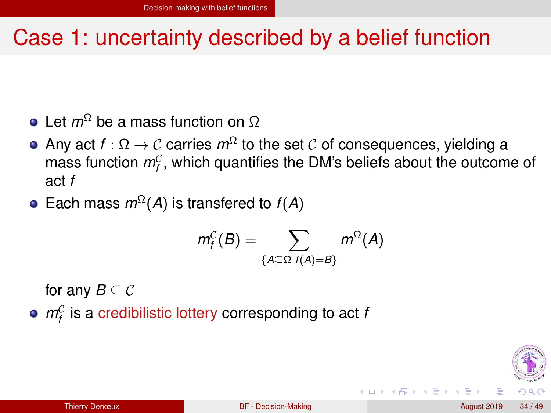### <span id="page-34-0"></span>Case 1: uncertainty described by a belief function

- **e** Let *m*<sup>Ω</sup> be a mass function on Ω
- Any act *f* : Ω → C carries *m*<sup>Ω</sup> to the set C of consequences, yielding a mass function  $m_f^{\mathcal{C}}$ , which quantifies the DM's beliefs about the outcome of act *f*
- Each mass  $m^{\Omega}(A)$  is transfered to  $f(A)$

$$
m_f^{\mathcal{C}}(B) = \sum_{\{A \subseteq \Omega \mid f(A) = B\}} m^{\Omega}(A)
$$

for any  $B \subseteq C$ 

 $m_f^C$  is a credibilistic lottery corresponding to act *f* 

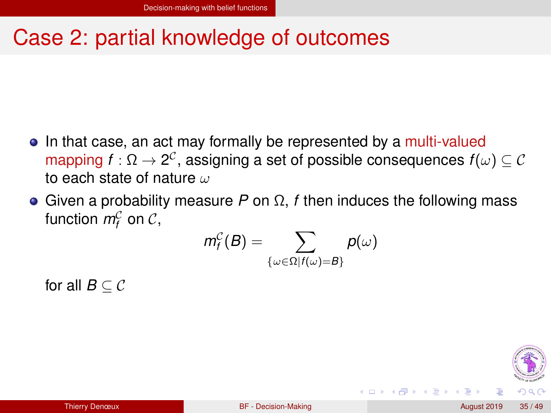# <span id="page-35-0"></span>Case 2: partial knowledge of outcomes

- In that case, an act may formally be represented by a multi-valued mapping  $f:\Omega\to 2^{\mathcal C}$ , assigning a set of possible consequences  $f(\omega)\subseteq \mathcal C$ to each state of nature  $\omega$
- Given a probability measure *P* on Ω, *f* then induces the following mass function  $m_f^{\mathcal{C}}$  on  $\mathcal{C},$

$$
\textit{m}^{\mathcal{C}}_{\textit{f}}(\textit{B}) = \sum_{\{\omega \in \Omega | f(\omega) = \textit{B}\}} \textit{p}(\omega)
$$

for all  $B \subset \mathcal{C}$ 

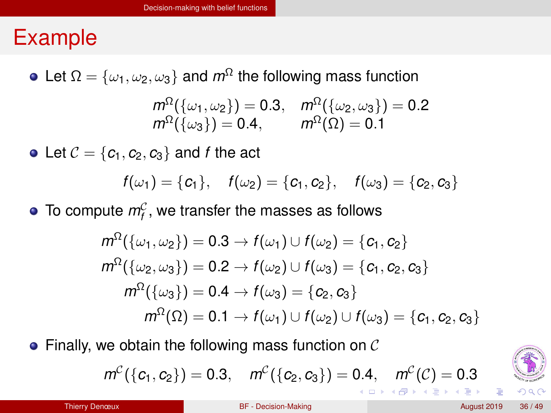### <span id="page-36-0"></span>Example

• Let  $\Omega = {\omega_1, \omega_2, \omega_3}$  and  $m^{\Omega}$  the following mass function

$$
m^{\Omega}(\{\omega_1, \omega_2\}) = 0.3, \quad m^{\Omega}(\{\omega_2, \omega_3\}) = 0.2
$$
  

$$
m^{\Omega}(\{\omega_3\}) = 0.4, \qquad m^{\Omega}(\Omega) = 0.1
$$

• Let  $C = \{c_1, c_2, c_3\}$  and *f* the act

$$
f(\omega_1) = \{c_1\}, \quad f(\omega_2) = \{c_1, c_2\}, \quad f(\omega_3) = \{c_2, c_3\}
$$

To compute  $m_f^{\mathcal{C}}$ , we transfer the masses as follows

$$
m^{\Omega}(\{\omega_1, \omega_2\}) = 0.3 \rightarrow f(\omega_1) \cup f(\omega_2) = \{c_1, c_2\}
$$
  
\n
$$
m^{\Omega}(\{\omega_2, \omega_3\}) = 0.2 \rightarrow f(\omega_2) \cup f(\omega_3) = \{c_1, c_2, c_3\}
$$
  
\n
$$
m^{\Omega}(\{\omega_3\}) = 0.4 \rightarrow f(\omega_3) = \{c_2, c_3\}
$$
  
\n
$$
m^{\Omega}(\Omega) = 0.1 \rightarrow f(\omega_1) \cup f(\omega_2) \cup f(\omega_3) = \{c_1, c_2, c_3\}
$$

 $\bullet$  Finally, we obtain the following mass function on  $\mathcal C$ 

$$
m^{C}(\{c_1, c_2\}) = 0.3
$$
,  $m^{C}(\{c_2, c_3\}) = 0.4$ ,  $m^{C}(C) = 0.3$ 

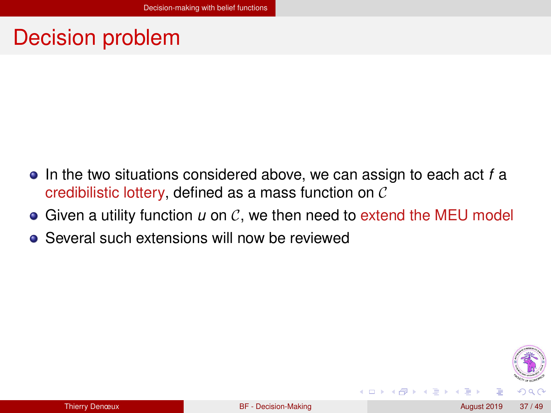### <span id="page-37-0"></span>Decision problem

- In the two situations considered above, we can assign to each act *f* a credibilistic lottery, defined as a mass function on C
- $\bullet$  Given a utility function  $u$  on  $\mathcal{C}$ , we then need to extend the MEU model
- **•** Several such extensions will now be reviewed



4 D F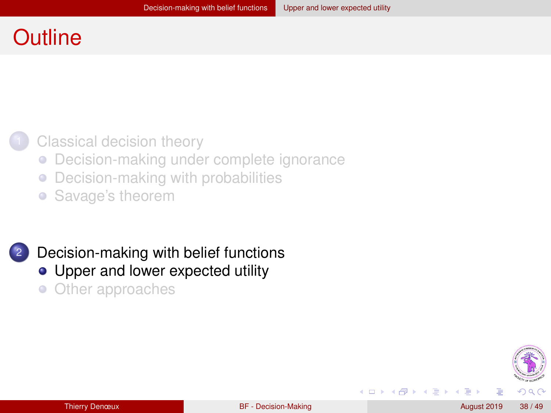### <span id="page-38-0"></span>**Outline**

#### [Classical decision theory](#page-7-0)

- [Decision-making under complete ignorance](#page-8-0)  $\bullet$
- [Decision-making with probabilities](#page-20-0)  $\bullet$
- [Savage's theorem](#page-26-0)

## [Decision-making with belief functions](#page-32-0)

- [Upper and lower expected utility](#page-38-0)
- [Other approaches](#page-44-0)  $\bullet$



◂**◻▸ ◂<del>╓</del>▸** 

**B** K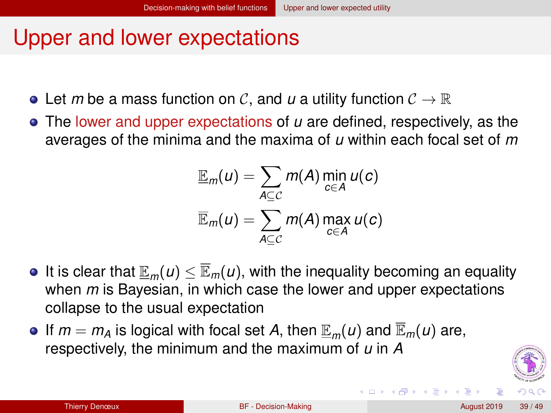### <span id="page-39-0"></span>Upper and lower expectations

- $\bullet$  Let *m* be a mass function on C, and *u* a utility function  $\mathcal{C} \to \mathbb{R}$
- The lower and upper expectations of *u* are defined, respectively, as the averages of the minima and the maxima of *u* within each focal set of *m*

$$
\underline{\mathbb{E}}_m(u) = \sum_{A \subseteq C} m(A) \min_{c \in A} u(c)
$$

$$
\overline{\mathbb{E}}_m(u) = \sum_{A \subseteq C} m(A) \max_{c \in A} u(c)
$$

- **It is clear that**  $\mathbb{E}_m(u) \leq \mathbb{E}_m(u)$ **, with the inequality becoming an equality** when *m* is Bayesian, in which case the lower and upper expectations collapse to the usual expectation
- $\bullet$  If  $m = m_A$  is logical with focal set A, then  $\mathbb{E}_m(u)$  and  $\mathbb{E}_m(u)$  are, respectively, the minimum and the maximum of *u* in *A*



イロト イ母 トイヨ トイヨ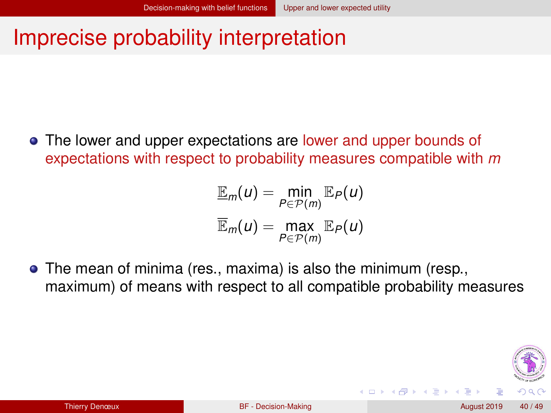### <span id="page-40-0"></span>Imprecise probability interpretation

The lower and upper expectations are lower and upper bounds of expectations with respect to probability measures compatible with *m*

$$
\underline{\mathbb{E}}_m(u) = \min_{P \in \mathcal{P}(m)} \mathbb{E}_P(u)
$$

$$
\overline{\mathbb{E}}_m(u) = \max_{P \in \mathcal{P}(m)} \mathbb{E}_P(u)
$$

The mean of minima (res., maxima) is also the minimum (resp., maximum) of means with respect to all compatible probability measures



( □ ) ( / f)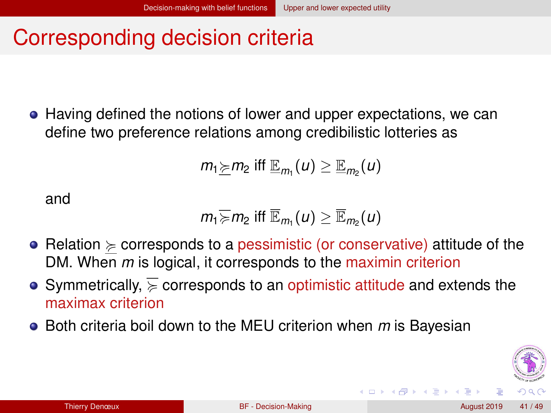### <span id="page-41-0"></span>Corresponding decision criteria

• Having defined the notions of lower and upper expectations, we can define two preference relations among credibilistic lotteries as

$$
m_1 \geq m_2
$$
 iff  $\mathbb{E}_{m_1}(u) \geq \mathbb{E}_{m_2}(u)$ 

and

$$
m_1 \geq m_2
$$
 iff  $\overline{\mathbb{E}}_{m_1}(u) \geq \overline{\mathbb{E}}_{m_2}(u)$ 

- Relation  $\succeq$  corresponds to a pessimistic (or conservative) attitude of the DM. When *m* is logical, it corresponds to the maximin criterion
- Symmetrically,  $\geq$  corresponds to an optimistic attitude and extends the maximax criterion
- Both criteria boil down to the MEU criterion when *m* is Bayesian



**∢ ロ ▶ ィ 何**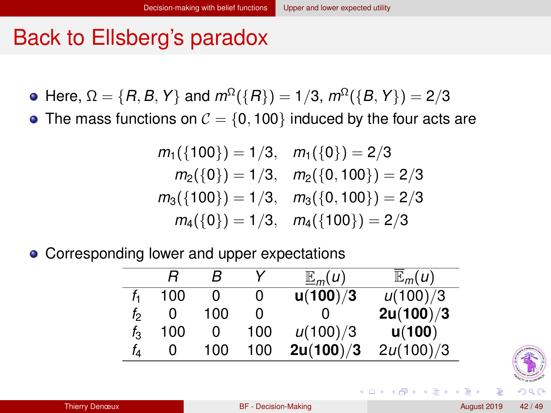### <span id="page-42-0"></span>Back to Ellsberg's paradox

- Here,  $\Omega = \{R, B, Y\}$  and  $m^{\Omega}(\{R\}) = 1/3$ ,  $m^{\Omega}(\{B, Y\}) = 2/3$
- The mass functions on  $C = \{0, 100\}$  induced by the four acts are

$$
m_1(\{100\}) = 1/3, \quad m_1(\{0\}) = 2/3
$$
  
\n
$$
m_2(\{0\}) = 1/3, \quad m_2(\{0, 100\}) = 2/3
$$
  
\n
$$
m_3(\{100\}) = 1/3, \quad m_3(\{0, 100\}) = 2/3
$$
  
\n
$$
m_4(\{0\}) = 1/3, \quad m_4(\{100\}) = 2/3
$$

• Corresponding lower and upper expectations

|       |     | R   | v   | $\mathbb{E}_m(u)$ | $\mathbb{E}_m(u)$ |
|-------|-----|-----|-----|-------------------|-------------------|
|       | 100 |     | 0   | u(100)/3          | u(100)/3          |
| f,    | O   | 100 | O   |                   | 2u(100)/3         |
| $f_3$ | 100 |     | 100 | u(100)/3          | u(100)            |
| İΔ    | O   | 100 | 100 | 2u(100)/3         | 2u(100)/3         |

◂**◻▸ ◂<del>╓</del>▸** 

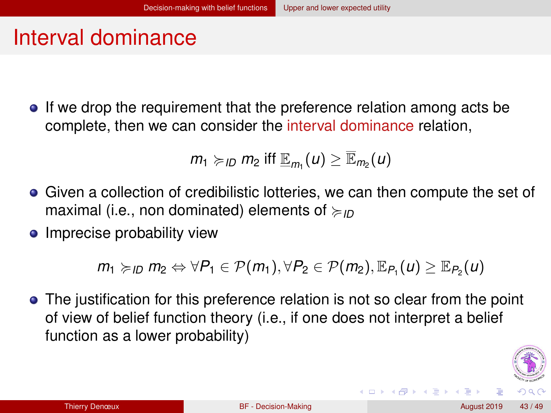### <span id="page-43-0"></span>Interval dominance

If we drop the requirement that the preference relation among acts be complete, then we can consider the interval dominance relation,

$$
m_1 \geq_{ID} m_2
$$
 iff  $\mathbb{E}_{m_1}(u) \geq \mathbb{E}_{m_2}(u)$ 

- Given a collection of credibilistic lotteries, we can then compute the set of maximal (i.e., non dominated) elements of <*ID*
- Imprecise probability view

 $m_1 \succcurlyeq_{ID} m_2 \Leftrightarrow \forall P_1 \in \mathcal{P}(m_1), \forall P_2 \in \mathcal{P}(m_2), \mathbb{E}_{P_1}(u) \geq \mathbb{E}_{P_2}(u)$ 

• The justification for this preference relation is not so clear from the point of view of belief function theory (i.e., if one does not interpret a belief function as a lower probability)



**K ロ ト K 何 ト K ヨ ト K ヨ**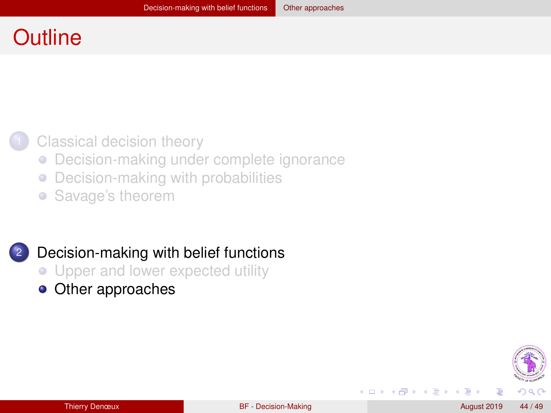### <span id="page-44-0"></span>**Outline**

#### [Classical decision theory](#page-7-0)

- [Decision-making under complete ignorance](#page-8-0)  $\bullet$
- [Decision-making with probabilities](#page-20-0)  $\bullet$
- [Savage's theorem](#page-26-0)

#### [Decision-making with belief functions](#page-32-0)

- [Upper and lower expected utility](#page-38-0)
- [Other approaches](#page-44-0)



◂**◻▸ ◂<del>╓</del>▸** 

E K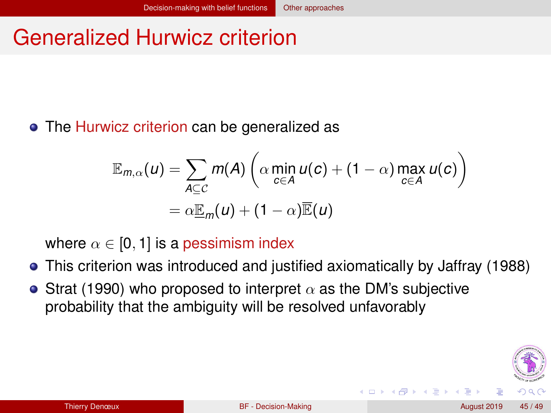# <span id="page-45-0"></span>Generalized Hurwicz criterion

**•** The Hurwicz criterion can be generalized as

$$
\mathbb{E}_{m,\alpha}(u) = \sum_{A \subseteq C} m(A) \left( \alpha \min_{c \in A} u(c) + (1 - \alpha) \max_{c \in A} u(c) \right)
$$
  
=  $\alpha \mathbb{E}_m(u) + (1 - \alpha) \mathbb{E}(u)$ 

where  $\alpha \in [0, 1]$  is a pessimism index

- This criterion was introduced and justified axiomatically by Jaffray (1988)
- Strat (1990) who proposed to interpret  $\alpha$  as the DM's subjective probability that the ambiguity will be resolved unfavorably

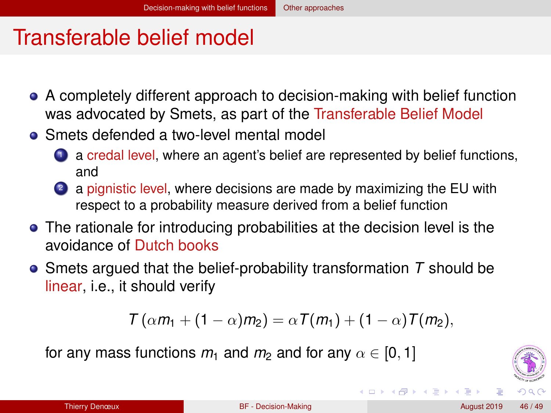### <span id="page-46-0"></span>Transferable belief model

- A completely different approach to decision-making with belief function was advocated by Smets, as part of the Transferable Belief Model
- Smets defended a two-level mental model
	- **1** a credal level, where an agent's belief are represented by belief functions, and
	- <sup>2</sup> a pignistic level, where decisions are made by maximizing the EU with respect to a probability measure derived from a belief function
- The rationale for introducing probabilities at the decision level is the avoidance of Dutch books
- Smets argued that the belief-probability transformation *T* should be linear, i.e., it should verify

$$
T(\alpha m_1 + (1 - \alpha)m_2) = \alpha T(m_1) + (1 - \alpha)T(m_2),
$$

for any mass functions  $m_1$  and  $m_2$  and for any  $\alpha \in [0,1]$ 



イロト イ母 トイヨ トイヨ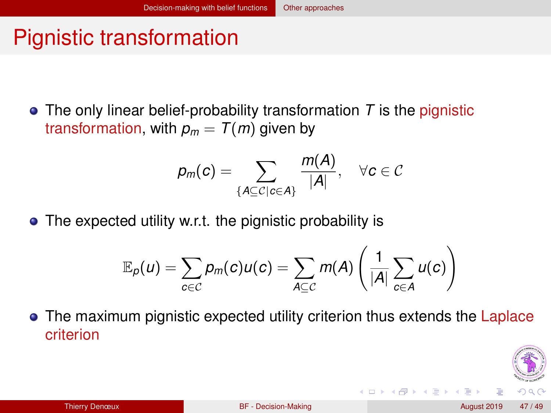# <span id="page-47-0"></span>Pignistic transformation

• The only linear belief-probability transformation *T* is the pignistic transformation, with  $p_m = T(m)$  given by

$$
p_m(c)=\sum_{\{A\subseteq C\mid c\in A\}}\frac{m(A)}{|A|},\quad \forall c\in\mathcal{C}
$$

• The expected utility w.r.t. the pignistic probability is

$$
\mathbb{E}_{p}(u) = \sum_{c \in \mathcal{C}} p_m(c) u(c) = \sum_{A \subseteq \mathcal{C}} m(A) \left( \frac{1}{|A|} \sum_{c \in A} u(c) \right)
$$

• The maximum pignistic expected utility criterion thus extends the Laplace criterion

**◆ ロ ▶ → 何** 

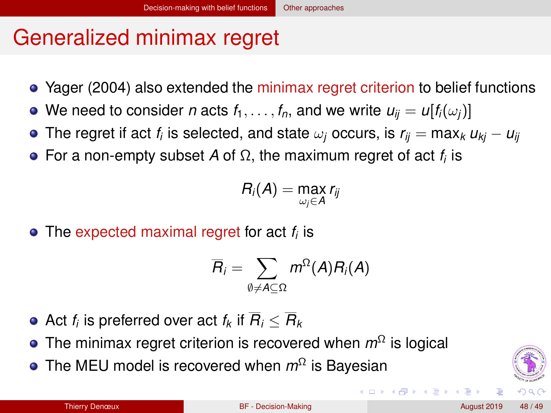# <span id="page-48-0"></span>Generalized minimax regret

- Yager (2004) also extended the minimax regret criterion to belief functions
- We need to consider *n* acts  $f_1, \ldots, f_n$ , and we write  $u_{ii} = u[f_i(\omega_i)]$
- The regret if act  $f_i$  is selected, and state  $\omega_j$  occurs, is  $r_{ij} = \max_k u_{kj} u_{ij}$
- For a non-empty subset *A* of Ω, the maximum regret of act *f<sup>i</sup>* is

$$
R_i(A)=\max_{\omega_j\in A}r_{ij}
$$

The expected maximal regret for act *f<sup>i</sup>* is

$$
\overline{R}_i = \sum_{\emptyset \neq A \subseteq \Omega} m^{\Omega}(A) R_i(A)
$$

- Act  $f_i$  is preferred over act  $f_k$  if  $R_i\leq R_k$
- The minimax regret criterion is recovered when *m*<sup>Ω</sup> is logical
- The MEU model is recovered when *m*<sup>Ω</sup> is Bayesian



**K ロ ト K 何 ト K ヨ ト**